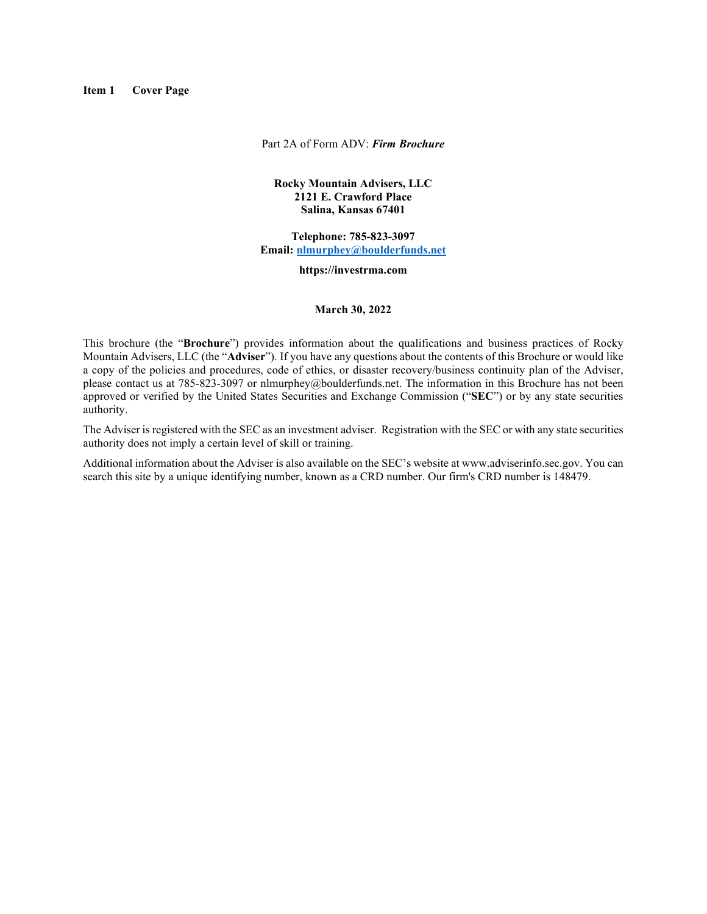<span id="page-0-0"></span>**Item 1 Cover Page**

Part 2A of Form ADV: *Firm Brochure*

#### **Rocky Mountain Advisers, LLC 2121 E. Crawford Place Salina, Kansas 67401**

**Telephone: 785-823-3097 Email: [nlmurphey@boulderfunds.net](mailto:nlmurphey@boulderfunds.net)**

**https://investrma.com**

#### **March 30, 2022**

This brochure (the "**Brochure**") provides information about the qualifications and business practices of Rocky Mountain Advisers, LLC (the "**Adviser**"). If you have any questions about the contents of this Brochure or would like a copy of the policies and procedures, code of ethics, or disaster recovery/business continuity plan of the Adviser, please contact us at 785-823-3097 or nlmurphey@boulderfunds.net. The information in this Brochure has not been approved or verified by the United States Securities and Exchange Commission ("**SEC**") or by any state securities authority.

The Adviser is registered with the SEC as an investment adviser. Registration with the SEC or with any state securities authority does not imply a certain level of skill or training.

Additional information about the Adviser is also available on the SEC's website at www.adviserinfo.sec.gov. You can search this site by a unique identifying number, known as a CRD number. Our firm's CRD number is 148479.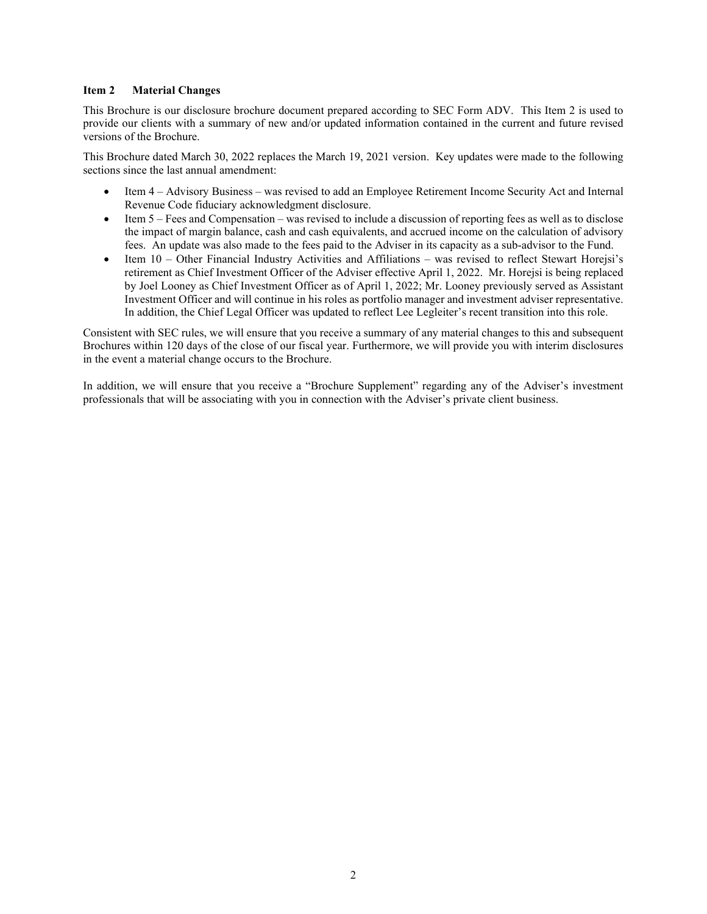#### <span id="page-1-0"></span>**Item 2 Material Changes**

This Brochure is our disclosure brochure document prepared according to SEC Form ADV. This Item 2 is used to provide our clients with a summary of new and/or updated information contained in the current and future revised versions of the Brochure.

This Brochure dated March 30, 2022 replaces the March 19, 2021 version. Key updates were made to the following sections since the last annual amendment:

- Item 4 Advisory Business was revised to add an Employee Retirement Income Security Act and Internal Revenue Code fiduciary acknowledgment disclosure.
- Item 5 Fees and Compensation was revised to include a discussion of reporting fees as well as to disclose the impact of margin balance, cash and cash equivalents, and accrued income on the calculation of advisory fees. An update was also made to the fees paid to the Adviser in its capacity as a sub-advisor to the Fund.
- Item 10 Other Financial Industry Activities and Affiliations was revised to reflect Stewart Horejsi's retirement as Chief Investment Officer of the Adviser effective April 1, 2022. Mr. Horejsi is being replaced by Joel Looney as Chief Investment Officer as of April 1, 2022; Mr. Looney previously served as Assistant Investment Officer and will continue in his roles as portfolio manager and investment adviser representative. In addition, the Chief Legal Officer was updated to reflect Lee Legleiter's recent transition into this role.

Consistent with SEC rules, we will ensure that you receive a summary of any material changes to this and subsequent Brochures within 120 days of the close of our fiscal year. Furthermore, we will provide you with interim disclosures in the event a material change occurs to the Brochure.

In addition, we will ensure that you receive a "Brochure Supplement" regarding any of the Adviser's investment professionals that will be associating with you in connection with the Adviser's private client business.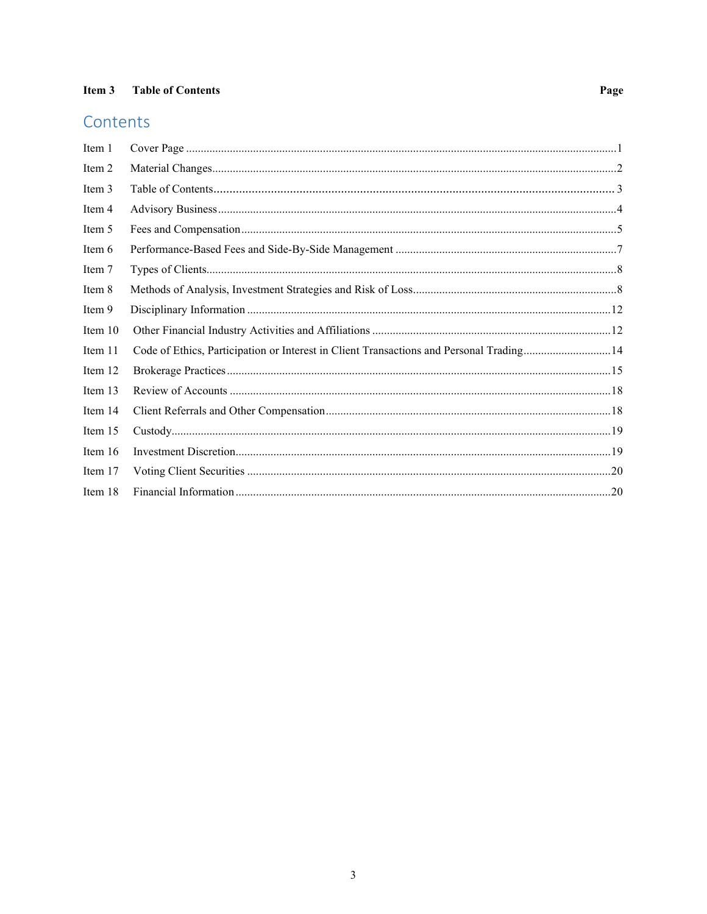# <span id="page-2-0"></span>Contents

| Item 1    |                                                                                          |  |
|-----------|------------------------------------------------------------------------------------------|--|
| Item 2    |                                                                                          |  |
| Item 3    |                                                                                          |  |
| Item 4    |                                                                                          |  |
| Item 5    |                                                                                          |  |
| Item 6    |                                                                                          |  |
| Item 7    |                                                                                          |  |
| Item 8    |                                                                                          |  |
| Item 9    |                                                                                          |  |
| Item $10$ |                                                                                          |  |
| Item 11   | Code of Ethics, Participation or Interest in Client Transactions and Personal Trading 14 |  |
| Item 12   |                                                                                          |  |
| Item 13   |                                                                                          |  |
| Item 14   |                                                                                          |  |
| Item 15   |                                                                                          |  |
| Item 16   |                                                                                          |  |
| Item 17   |                                                                                          |  |
| Item 18   |                                                                                          |  |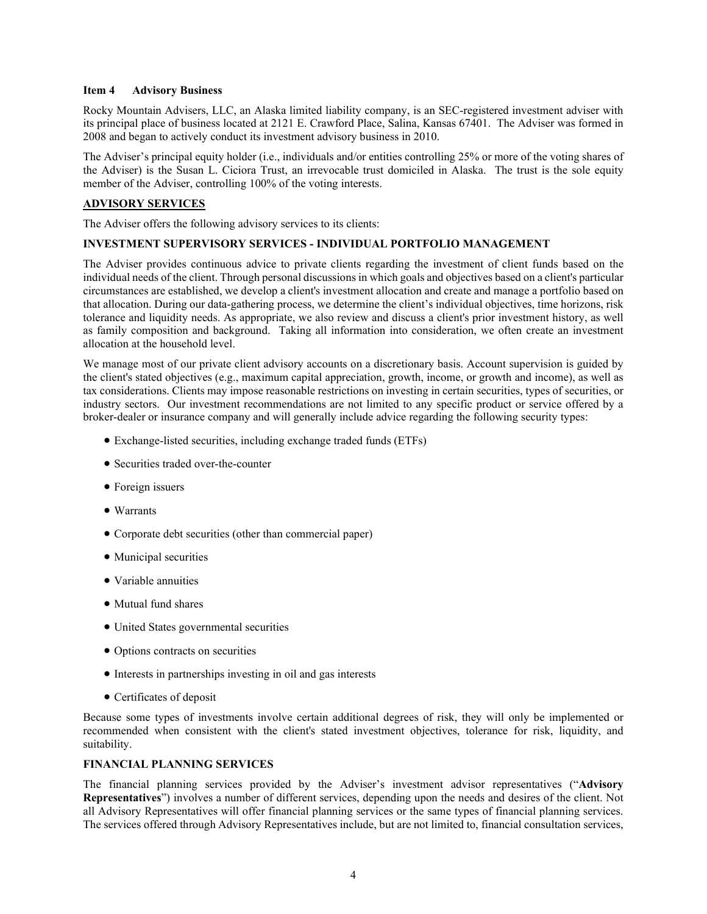#### <span id="page-3-0"></span>**Item 4 Advisory Business**

Rocky Mountain Advisers, LLC, an Alaska limited liability company, is an SEC-registered investment adviser with its principal place of business located at 2121 E. Crawford Place, Salina, Kansas 67401. The Adviser was formed in 2008 and began to actively conduct its investment advisory business in 2010.

The Adviser's principal equity holder (i.e., individuals and/or entities controlling 25% or more of the voting shares of the Adviser) is the Susan L. Ciciora Trust, an irrevocable trust domiciled in Alaska. The trust is the sole equity member of the Adviser, controlling 100% of the voting interests.

#### **ADVISORY SERVICES**

The Adviser offers the following advisory services to its clients:

## **INVESTMENT SUPERVISORY SERVICES - INDIVIDUAL PORTFOLIO MANAGEMENT**

The Adviser provides continuous advice to private clients regarding the investment of client funds based on the individual needs of the client. Through personal discussions in which goals and objectives based on a client's particular circumstances are established, we develop a client's investment allocation and create and manage a portfolio based on that allocation. During our data-gathering process, we determine the client's individual objectives, time horizons, risk tolerance and liquidity needs. As appropriate, we also review and discuss a client's prior investment history, as well as family composition and background. Taking all information into consideration, we often create an investment allocation at the household level.

We manage most of our private client advisory accounts on a discretionary basis. Account supervision is guided by the client's stated objectives (e.g., maximum capital appreciation, growth, income, or growth and income), as well as tax considerations. Clients may impose reasonable restrictions on investing in certain securities, types of securities, or industry sectors. Our investment recommendations are not limited to any specific product or service offered by a broker-dealer or insurance company and will generally include advice regarding the following security types:

- Exchange-listed securities, including exchange traded funds (ETFs)
- Securities traded over-the-counter
- Foreign issuers
- Warrants
- Corporate debt securities (other than commercial paper)
- Municipal securities
- Variable annuities
- Mutual fund shares
- United States governmental securities
- Options contracts on securities
- Interests in partnerships investing in oil and gas interests
- Certificates of deposit

Because some types of investments involve certain additional degrees of risk, they will only be implemented or recommended when consistent with the client's stated investment objectives, tolerance for risk, liquidity, and suitability.

#### **FINANCIAL PLANNING SERVICES**

The financial planning services provided by the Adviser's investment advisor representatives ("**Advisory Representatives**") involves a number of different services, depending upon the needs and desires of the client. Not all Advisory Representatives will offer financial planning services or the same types of financial planning services. The services offered through Advisory Representatives include, but are not limited to, financial consultation services,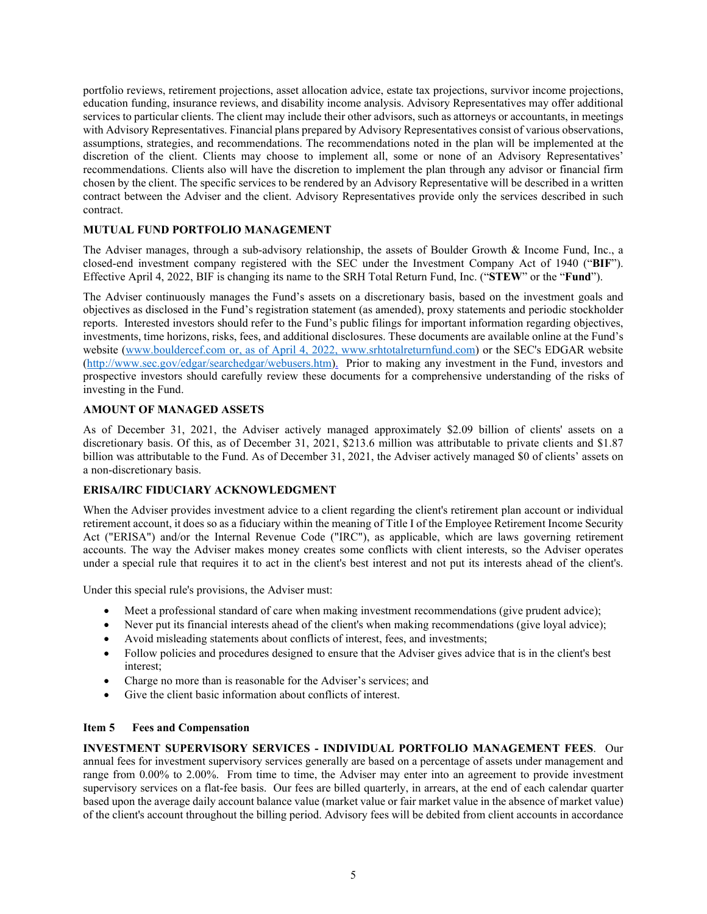portfolio reviews, retirement projections, asset allocation advice, estate tax projections, survivor income projections, education funding, insurance reviews, and disability income analysis. Advisory Representatives may offer additional services to particular clients. The client may include their other advisors, such as attorneys or accountants, in meetings with Advisory Representatives. Financial plans prepared by Advisory Representatives consist of various observations, assumptions, strategies, and recommendations. The recommendations noted in the plan will be implemented at the discretion of the client. Clients may choose to implement all, some or none of an Advisory Representatives' recommendations. Clients also will have the discretion to implement the plan through any advisor or financial firm chosen by the client. The specific services to be rendered by an Advisory Representative will be described in a written contract between the Adviser and the client. Advisory Representatives provide only the services described in such contract.

## **MUTUAL FUND PORTFOLIO MANAGEMENT**

The Adviser manages, through a sub-advisory relationship, the assets of Boulder Growth & Income Fund, Inc., a closed-end investment company registered with the SEC under the Investment Company Act of 1940 ("**BIF**"). Effective April 4, 2022, BIF is changing its name to the SRH Total Return Fund, Inc. ("**STEW**" or the "**Fund**").

The Adviser continuously manages the Fund's assets on a discretionary basis, based on the investment goals and objectives as disclosed in the Fund's registration statement (as amended), proxy statements and periodic stockholder reports. Interested investors should refer to the Fund's public filings for important information regarding objectives, investments, time horizons, risks, fees, and additional disclosures. These documents are available online at the Fund's website [\(www.bouldercef.com](http://www.bouldercef.com/) or, as of April 4, 2022, www.srhtotalreturnfund.com) or the SEC's EDGAR website [\(http://www.sec.gov/edgar/searchedgar/webusers.htm\)](http://www.sec.gov/edgar/searchedgar/webusers.htm). Prior to making any investment in the Fund, investors and prospective investors should carefully review these documents for a comprehensive understanding of the risks of investing in the Fund.

## **AMOUNT OF MANAGED ASSETS**

As of December 31, 2021, the Adviser actively managed approximately \$2.09 billion of clients' assets on a discretionary basis. Of this, as of December 31, 2021, \$213.6 million was attributable to private clients and \$1.87 billion was attributable to the Fund. As of December 31, 2021, the Adviser actively managed \$0 of clients' assets on a non-discretionary basis.

## **ERISA/IRC FIDUCIARY ACKNOWLEDGMENT**

When the Adviser provides investment advice to a client regarding the client's retirement plan account or individual retirement account, it does so as a fiduciary within the meaning of Title I of the Employee Retirement Income Security Act ("ERISA") and/or the Internal Revenue Code ("IRC"), as applicable, which are laws governing retirement accounts. The way the Adviser makes money creates some conflicts with client interests, so the Adviser operates under a special rule that requires it to act in the client's best interest and not put its interests ahead of the client's.

Under this special rule's provisions, the Adviser must:

- Meet a professional standard of care when making investment recommendations (give prudent advice);
- Never put its financial interests ahead of the client's when making recommendations (give loyal advice);
- Avoid misleading statements about conflicts of interest, fees, and investments;
- Follow policies and procedures designed to ensure that the Adviser gives advice that is in the client's best interest;
- Charge no more than is reasonable for the Adviser's services; and
- Give the client basic information about conflicts of interest.

#### <span id="page-4-0"></span>**Item 5 Fees and Compensation**

**INVESTMENT SUPERVISORY SERVICES - INDIVIDUAL PORTFOLIO MANAGEMENT FEES**. Our annual fees for investment supervisory services generally are based on a percentage of assets under management and range from 0.00% to 2.00%. From time to time, the Adviser may enter into an agreement to provide investment supervisory services on a flat-fee basis. Our fees are billed quarterly, in arrears, at the end of each calendar quarter based upon the average daily account balance value (market value or fair market value in the absence of market value) of the client's account throughout the billing period. Advisory fees will be debited from client accounts in accordance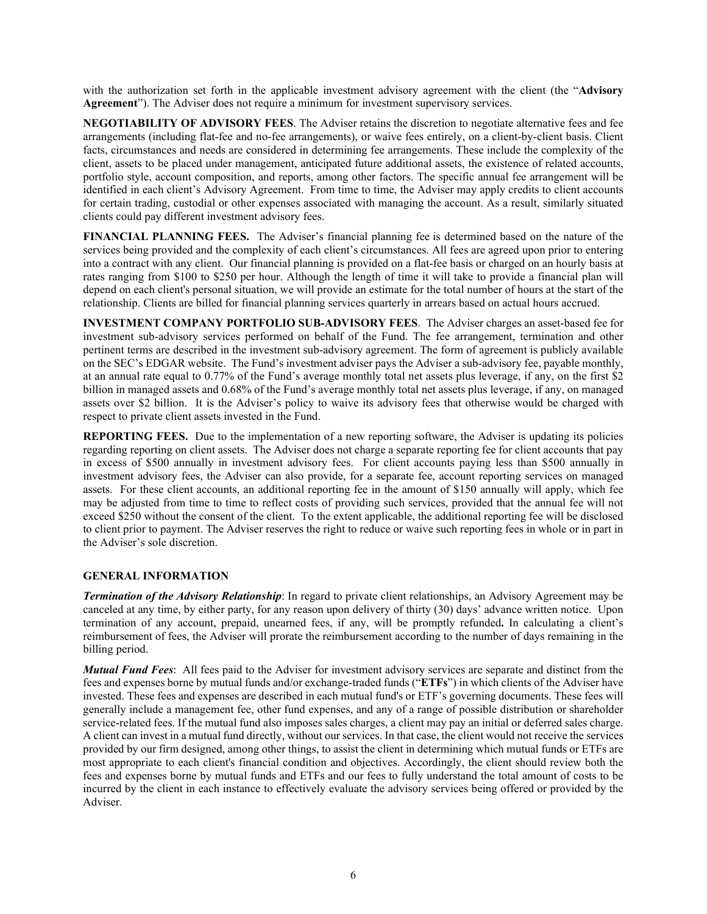with the authorization set forth in the applicable investment advisory agreement with the client (the "**Advisory Agreement**"). The Adviser does not require a minimum for investment supervisory services.

**NEGOTIABILITY OF ADVISORY FEES**. The Adviser retains the discretion to negotiate alternative fees and fee arrangements (including flat-fee and no-fee arrangements), or waive fees entirely, on a client-by-client basis. Client facts, circumstances and needs are considered in determining fee arrangements. These include the complexity of the client, assets to be placed under management, anticipated future additional assets, the existence of related accounts, portfolio style, account composition, and reports, among other factors. The specific annual fee arrangement will be identified in each client's Advisory Agreement. From time to time, the Adviser may apply credits to client accounts for certain trading, custodial or other expenses associated with managing the account. As a result, similarly situated clients could pay different investment advisory fees.

**FINANCIAL PLANNING FEES.** The Adviser's financial planning fee is determined based on the nature of the services being provided and the complexity of each client's circumstances. All fees are agreed upon prior to entering into a contract with any client. Our financial planning is provided on a flat-fee basis or charged on an hourly basis at rates ranging from \$100 to \$250 per hour. Although the length of time it will take to provide a financial plan will depend on each client's personal situation, we will provide an estimate for the total number of hours at the start of the relationship. Clients are billed for financial planning services quarterly in arrears based on actual hours accrued.

**INVESTMENT COMPANY PORTFOLIO SUB-ADVISORY FEES**. The Adviser charges an asset-based fee for investment sub-advisory services performed on behalf of the Fund. The fee arrangement, termination and other pertinent terms are described in the investment sub-advisory agreement. The form of agreement is publicly available on the SEC's EDGAR website. The Fund's investment adviser pays the Adviser a sub-advisory fee, payable monthly, at an annual rate equal to 0.77% of the Fund's average monthly total net assets plus leverage, if any, on the first \$2 billion in managed assets and 0.68% of the Fund's average monthly total net assets plus leverage, if any, on managed assets over \$2 billion. It is the Adviser's policy to waive its advisory fees that otherwise would be charged with respect to private client assets invested in the Fund.

**REPORTING FEES.** Due to the implementation of a new reporting software, the Adviser is updating its policies regarding reporting on client assets. The Adviser does not charge a separate reporting fee for client accounts that pay in excess of \$500 annually in investment advisory fees. For client accounts paying less than \$500 annually in investment advisory fees, the Adviser can also provide, for a separate fee, account reporting services on managed assets. For these client accounts, an additional reporting fee in the amount of \$150 annually will apply, which fee may be adjusted from time to time to reflect costs of providing such services, provided that the annual fee will not exceed \$250 without the consent of the client. To the extent applicable, the additional reporting fee will be disclosed to client prior to payment. The Adviser reserves the right to reduce or waive such reporting fees in whole or in part in the Adviser's sole discretion.

## **GENERAL INFORMATION**

*Termination of the Advisory Relationship*: In regard to private client relationships, an Advisory Agreement may be canceled at any time, by either party, for any reason upon delivery of thirty (30) days' advance written notice. Upon termination of any account, prepaid, unearned fees, if any, will be promptly refunded**.** In calculating a client's reimbursement of fees, the Adviser will prorate the reimbursement according to the number of days remaining in the billing period.

*Mutual Fund Fees*: All fees paid to the Adviser for investment advisory services are separate and distinct from the fees and expenses borne by mutual funds and/or exchange-traded funds ("**ETFs**") in which clients of the Adviser have invested. These fees and expenses are described in each mutual fund's or ETF's governing documents. These fees will generally include a management fee, other fund expenses, and any of a range of possible distribution or shareholder service-related fees. If the mutual fund also imposes sales charges, a client may pay an initial or deferred sales charge. A client can invest in a mutual fund directly, without our services. In that case, the client would not receive the services provided by our firm designed, among other things, to assist the client in determining which mutual funds or ETFs are most appropriate to each client's financial condition and objectives. Accordingly, the client should review both the fees and expenses borne by mutual funds and ETFs and our fees to fully understand the total amount of costs to be incurred by the client in each instance to effectively evaluate the advisory services being offered or provided by the Adviser.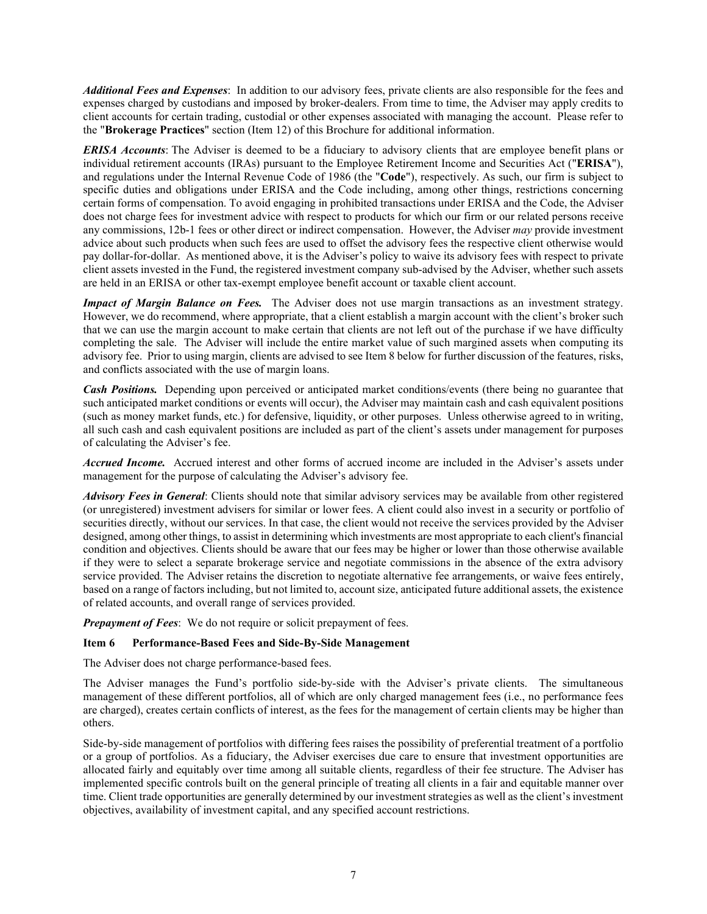*Additional Fees and Expenses*: In addition to our advisory fees, private clients are also responsible for the fees and expenses charged by custodians and imposed by broker-dealers. From time to time, the Adviser may apply credits to client accounts for certain trading, custodial or other expenses associated with managing the account. Please refer to the "**Brokerage Practices**" section (Item 12) of this Brochure for additional information.

*ERISA Accounts*: The Adviser is deemed to be a fiduciary to advisory clients that are employee benefit plans or individual retirement accounts (IRAs) pursuant to the Employee Retirement Income and Securities Act ("**ERISA**"), and regulations under the Internal Revenue Code of 1986 (the "**Code**"), respectively. As such, our firm is subject to specific duties and obligations under ERISA and the Code including, among other things, restrictions concerning certain forms of compensation. To avoid engaging in prohibited transactions under ERISA and the Code, the Adviser does not charge fees for investment advice with respect to products for which our firm or our related persons receive any commissions, 12b-1 fees or other direct or indirect compensation. However, the Adviser *may* provide investment advice about such products when such fees are used to offset the advisory fees the respective client otherwise would pay dollar-for-dollar. As mentioned above, it is the Adviser's policy to waive its advisory fees with respect to private client assets invested in the Fund, the registered investment company sub-advised by the Adviser, whether such assets are held in an ERISA or other tax-exempt employee benefit account or taxable client account.

*Impact of Margin Balance on Fees.* The Adviser does not use margin transactions as an investment strategy. However, we do recommend, where appropriate, that a client establish a margin account with the client's broker such that we can use the margin account to make certain that clients are not left out of the purchase if we have difficulty completing the sale. The Adviser will include the entire market value of such margined assets when computing its advisory fee. Prior to using margin, clients are advised to see Item 8 below for further discussion of the features, risks, and conflicts associated with the use of margin loans.

*Cash Positions.* Depending upon perceived or anticipated market conditions/events (there being no guarantee that such anticipated market conditions or events will occur), the Adviser may maintain cash and cash equivalent positions (such as money market funds, etc.) for defensive, liquidity, or other purposes. Unless otherwise agreed to in writing, all such cash and cash equivalent positions are included as part of the client's assets under management for purposes of calculating the Adviser's fee.

*Accrued Income.* Accrued interest and other forms of accrued income are included in the Adviser's assets under management for the purpose of calculating the Adviser's advisory fee.

*Advisory Fees in General*: Clients should note that similar advisory services may be available from other registered (or unregistered) investment advisers for similar or lower fees. A client could also invest in a security or portfolio of securities directly, without our services. In that case, the client would not receive the services provided by the Adviser designed, among other things, to assist in determining which investments are most appropriate to each client's financial condition and objectives. Clients should be aware that our fees may be higher or lower than those otherwise available if they were to select a separate brokerage service and negotiate commissions in the absence of the extra advisory service provided. The Adviser retains the discretion to negotiate alternative fee arrangements, or waive fees entirely, based on a range of factors including, but not limited to, account size, anticipated future additional assets, the existence of related accounts, and overall range of services provided.

*Prepayment of Fees*: We do not require or solicit prepayment of fees.

## <span id="page-6-0"></span>**Item 6 Performance-Based Fees and Side-By-Side Management**

The Adviser does not charge performance-based fees.

The Adviser manages the Fund's portfolio side-by-side with the Adviser's private clients. The simultaneous management of these different portfolios, all of which are only charged management fees (i.e., no performance fees are charged), creates certain conflicts of interest, as the fees for the management of certain clients may be higher than others.

Side-by-side management of portfolios with differing fees raises the possibility of preferential treatment of a portfolio or a group of portfolios. As a fiduciary, the Adviser exercises due care to ensure that investment opportunities are allocated fairly and equitably over time among all suitable clients, regardless of their fee structure. The Adviser has implemented specific controls built on the general principle of treating all clients in a fair and equitable manner over time. Client trade opportunities are generally determined by our investment strategies as well as the client's investment objectives, availability of investment capital, and any specified account restrictions.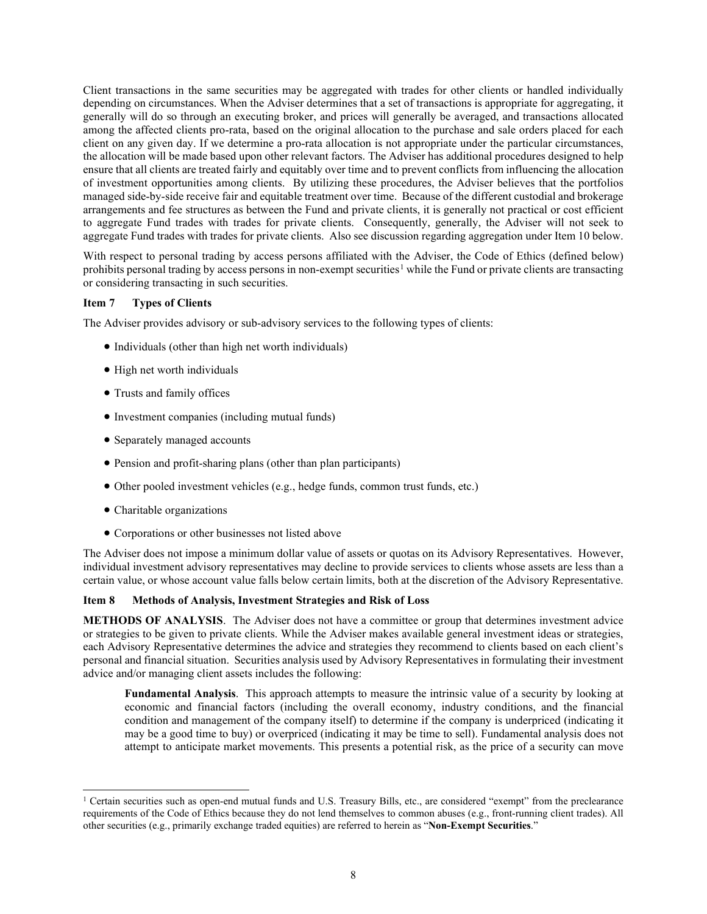Client transactions in the same securities may be aggregated with trades for other clients or handled individually depending on circumstances. When the Adviser determines that a set of transactions is appropriate for aggregating, it generally will do so through an executing broker, and prices will generally be averaged, and transactions allocated among the affected clients pro-rata, based on the original allocation to the purchase and sale orders placed for each client on any given day. If we determine a pro-rata allocation is not appropriate under the particular circumstances, the allocation will be made based upon other relevant factors. The Adviser has additional procedures designed to help ensure that all clients are treated fairly and equitably over time and to prevent conflicts from influencing the allocation of investment opportunities among clients. By utilizing these procedures, the Adviser believes that the portfolios managed side-by-side receive fair and equitable treatment over time. Because of the different custodial and brokerage arrangements and fee structures as between the Fund and private clients, it is generally not practical or cost efficient to aggregate Fund trades with trades for private clients. Consequently, generally, the Adviser will not seek to aggregate Fund trades with trades for private clients. Also see discussion regarding aggregation under Item 10 below.

With respect to personal trading by access persons affiliated with the Adviser, the Code of Ethics (defined below) prohibits personal trading by access persons in non-exempt securities<sup>[1](#page-7-2)</sup> while the Fund or private clients are transacting or considering transacting in such securities.

## <span id="page-7-0"></span>**Item 7 Types of Clients**

The Adviser provides advisory or sub-advisory services to the following types of clients:

- Individuals (other than high net worth individuals)
- High net worth individuals
- Trusts and family offices
- Investment companies (including mutual funds)
- Separately managed accounts
- Pension and profit-sharing plans (other than plan participants)
- Other pooled investment vehicles (e.g., hedge funds, common trust funds, etc.)
- Charitable organizations
- Corporations or other businesses not listed above

The Adviser does not impose a minimum dollar value of assets or quotas on its Advisory Representatives. However, individual investment advisory representatives may decline to provide services to clients whose assets are less than a certain value, or whose account value falls below certain limits, both at the discretion of the Advisory Representative.

## <span id="page-7-1"></span>**Item 8 Methods of Analysis, Investment Strategies and Risk of Loss**

**METHODS OF ANALYSIS**. The Adviser does not have a committee or group that determines investment advice or strategies to be given to private clients. While the Adviser makes available general investment ideas or strategies, each Advisory Representative determines the advice and strategies they recommend to clients based on each client's personal and financial situation. Securities analysis used by Advisory Representatives in formulating their investment advice and/or managing client assets includes the following:

**Fundamental Analysis**. This approach attempts to measure the intrinsic value of a security by looking at economic and financial factors (including the overall economy, industry conditions, and the financial condition and management of the company itself) to determine if the company is underpriced (indicating it may be a good time to buy) or overpriced (indicating it may be time to sell). Fundamental analysis does not attempt to anticipate market movements. This presents a potential risk, as the price of a security can move

<span id="page-7-2"></span><sup>&</sup>lt;sup>1</sup> Certain securities such as open-end mutual funds and U.S. Treasury Bills, etc., are considered "exempt" from the preclearance requirements of the Code of Ethics because they do not lend themselves to common abuses (e.g., front-running client trades). All other securities (e.g., primarily exchange traded equities) are referred to herein as "**Non-Exempt Securities**."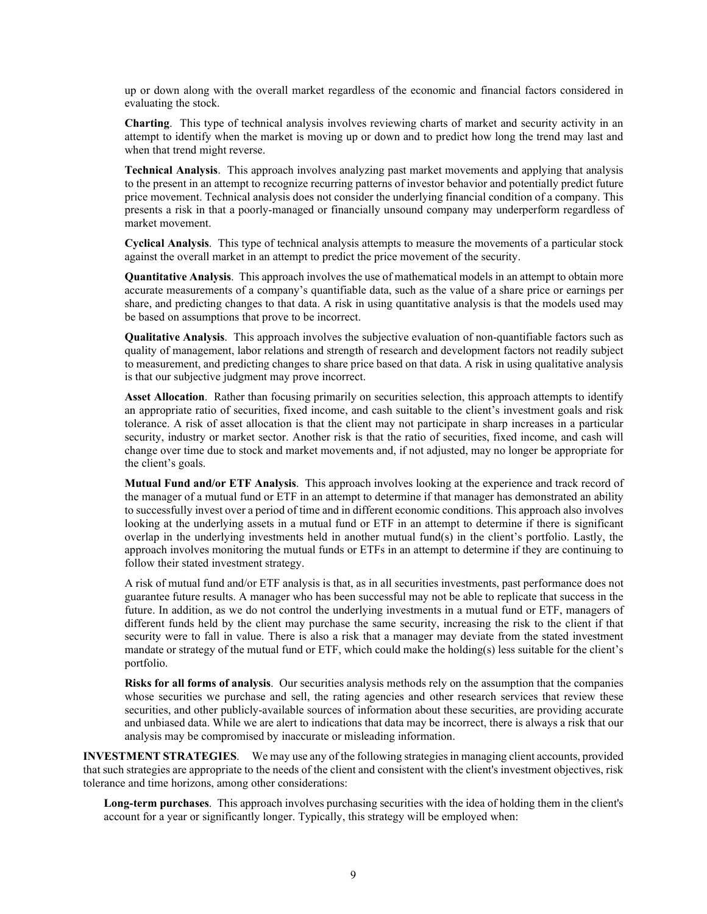up or down along with the overall market regardless of the economic and financial factors considered in evaluating the stock.

**Charting**. This type of technical analysis involves reviewing charts of market and security activity in an attempt to identify when the market is moving up or down and to predict how long the trend may last and when that trend might reverse.

**Technical Analysis**. This approach involves analyzing past market movements and applying that analysis to the present in an attempt to recognize recurring patterns of investor behavior and potentially predict future price movement. Technical analysis does not consider the underlying financial condition of a company. This presents a risk in that a poorly-managed or financially unsound company may underperform regardless of market movement.

**Cyclical Analysis**. This type of technical analysis attempts to measure the movements of a particular stock against the overall market in an attempt to predict the price movement of the security.

**Quantitative Analysis**. This approach involves the use of mathematical models in an attempt to obtain more accurate measurements of a company's quantifiable data, such as the value of a share price or earnings per share, and predicting changes to that data. A risk in using quantitative analysis is that the models used may be based on assumptions that prove to be incorrect.

**Qualitative Analysis**. This approach involves the subjective evaluation of non-quantifiable factors such as quality of management, labor relations and strength of research and development factors not readily subject to measurement, and predicting changes to share price based on that data. A risk in using qualitative analysis is that our subjective judgment may prove incorrect.

**Asset Allocation**. Rather than focusing primarily on securities selection, this approach attempts to identify an appropriate ratio of securities, fixed income, and cash suitable to the client's investment goals and risk tolerance. A risk of asset allocation is that the client may not participate in sharp increases in a particular security, industry or market sector. Another risk is that the ratio of securities, fixed income, and cash will change over time due to stock and market movements and, if not adjusted, may no longer be appropriate for the client's goals.

**Mutual Fund and/or ETF Analysis**. This approach involves looking at the experience and track record of the manager of a mutual fund or ETF in an attempt to determine if that manager has demonstrated an ability to successfully invest over a period of time and in different economic conditions. This approach also involves looking at the underlying assets in a mutual fund or ETF in an attempt to determine if there is significant overlap in the underlying investments held in another mutual fund(s) in the client's portfolio. Lastly, the approach involves monitoring the mutual funds or ETFs in an attempt to determine if they are continuing to follow their stated investment strategy.

A risk of mutual fund and/or ETF analysis is that, as in all securities investments, past performance does not guarantee future results. A manager who has been successful may not be able to replicate that success in the future. In addition, as we do not control the underlying investments in a mutual fund or ETF, managers of different funds held by the client may purchase the same security, increasing the risk to the client if that security were to fall in value. There is also a risk that a manager may deviate from the stated investment mandate or strategy of the mutual fund or ETF, which could make the holding(s) less suitable for the client's portfolio.

**Risks for all forms of analysis**. Our securities analysis methods rely on the assumption that the companies whose securities we purchase and sell, the rating agencies and other research services that review these securities, and other publicly-available sources of information about these securities, are providing accurate and unbiased data. While we are alert to indications that data may be incorrect, there is always a risk that our analysis may be compromised by inaccurate or misleading information.

**INVESTMENT STRATEGIES**. We may use any of the following strategies in managing client accounts, provided that such strategies are appropriate to the needs of the client and consistent with the client's investment objectives, risk tolerance and time horizons, among other considerations:

**Long-term purchases**. This approach involves purchasing securities with the idea of holding them in the client's account for a year or significantly longer. Typically, this strategy will be employed when: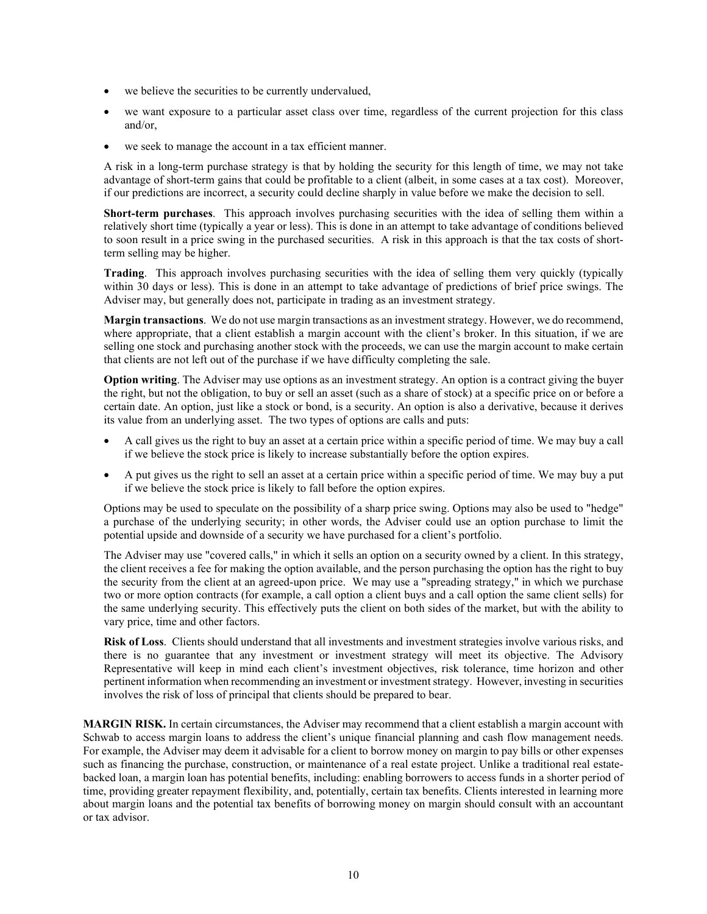- we believe the securities to be currently undervalued,
- we want exposure to a particular asset class over time, regardless of the current projection for this class and/or,
- we seek to manage the account in a tax efficient manner.

A risk in a long-term purchase strategy is that by holding the security for this length of time, we may not take advantage of short-term gains that could be profitable to a client (albeit, in some cases at a tax cost). Moreover, if our predictions are incorrect, a security could decline sharply in value before we make the decision to sell.

**Short-term purchases**. This approach involves purchasing securities with the idea of selling them within a relatively short time (typically a year or less). This is done in an attempt to take advantage of conditions believed to soon result in a price swing in the purchased securities. A risk in this approach is that the tax costs of shortterm selling may be higher.

**Trading**. This approach involves purchasing securities with the idea of selling them very quickly (typically within 30 days or less). This is done in an attempt to take advantage of predictions of brief price swings. The Adviser may, but generally does not, participate in trading as an investment strategy.

**Margin transactions**. We do not use margin transactions as an investment strategy. However, we do recommend, where appropriate, that a client establish a margin account with the client's broker. In this situation, if we are selling one stock and purchasing another stock with the proceeds, we can use the margin account to make certain that clients are not left out of the purchase if we have difficulty completing the sale.

**Option writing**. The Adviser may use options as an investment strategy. An option is a contract giving the buyer the right, but not the obligation, to buy or sell an asset (such as a share of stock) at a specific price on or before a certain date. An option, just like a stock or bond, is a security. An option is also a derivative, because it derives its value from an underlying asset. The two types of options are calls and puts:

- A call gives us the right to buy an asset at a certain price within a specific period of time. We may buy a call if we believe the stock price is likely to increase substantially before the option expires.
- A put gives us the right to sell an asset at a certain price within a specific period of time. We may buy a put if we believe the stock price is likely to fall before the option expires.

Options may be used to speculate on the possibility of a sharp price swing. Options may also be used to "hedge" a purchase of the underlying security; in other words, the Adviser could use an option purchase to limit the potential upside and downside of a security we have purchased for a client's portfolio.

The Adviser may use "covered calls," in which it sells an option on a security owned by a client. In this strategy, the client receives a fee for making the option available, and the person purchasing the option has the right to buy the security from the client at an agreed-upon price. We may use a "spreading strategy," in which we purchase two or more option contracts (for example, a call option a client buys and a call option the same client sells) for the same underlying security. This effectively puts the client on both sides of the market, but with the ability to vary price, time and other factors.

**Risk of Loss**. Clients should understand that all investments and investment strategies involve various risks, and there is no guarantee that any investment or investment strategy will meet its objective. The Advisory Representative will keep in mind each client's investment objectives, risk tolerance, time horizon and other pertinent information when recommending an investment or investment strategy. However, investing in securities involves the risk of loss of principal that clients should be prepared to bear.

**MARGIN RISK.** In certain circumstances, the Adviser may recommend that a client establish a margin account with Schwab to access margin loans to address the client's unique financial planning and cash flow management needs. For example, the Adviser may deem it advisable for a client to borrow money on margin to pay bills or other expenses such as financing the purchase, construction, or maintenance of a real estate project. Unlike a traditional real estatebacked loan, a margin loan has potential benefits, including: enabling borrowers to access funds in a shorter period of time, providing greater repayment flexibility, and, potentially, certain tax benefits. Clients interested in learning more about margin loans and the potential tax benefits of borrowing money on margin should consult with an accountant or tax advisor.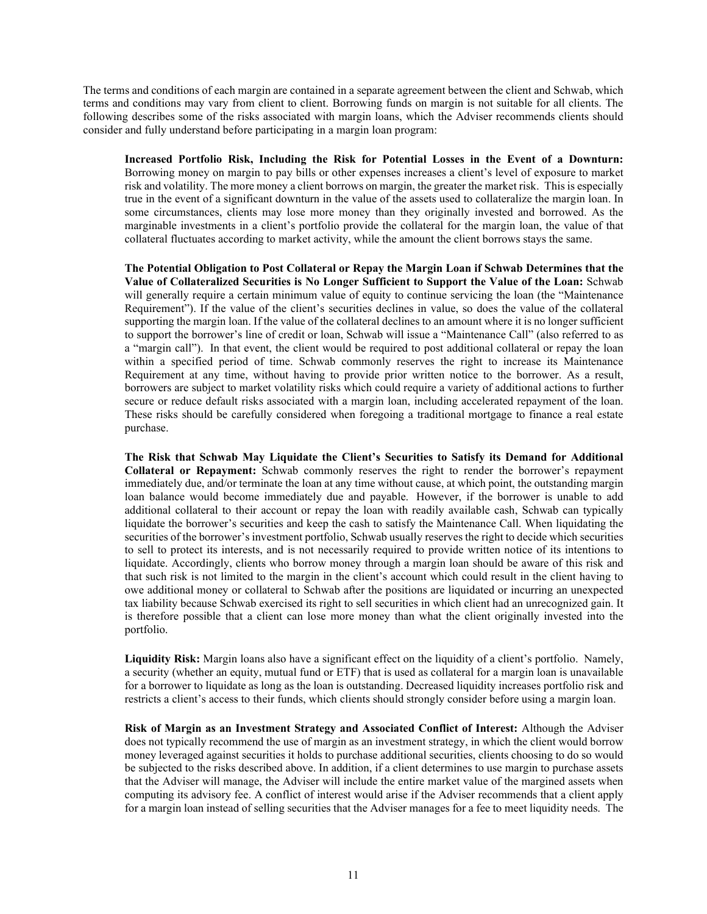The terms and conditions of each margin are contained in a separate agreement between the client and Schwab, which terms and conditions may vary from client to client. Borrowing funds on margin is not suitable for all clients. The following describes some of the risks associated with margin loans, which the Adviser recommends clients should consider and fully understand before participating in a margin loan program:

**Increased Portfolio Risk, Including the Risk for Potential Losses in the Event of a Downturn:**  Borrowing money on margin to pay bills or other expenses increases a client's level of exposure to market risk and volatility. The more money a client borrows on margin, the greater the market risk. This is especially true in the event of a significant downturn in the value of the assets used to collateralize the margin loan. In some circumstances, clients may lose more money than they originally invested and borrowed. As the marginable investments in a client's portfolio provide the collateral for the margin loan, the value of that collateral fluctuates according to market activity, while the amount the client borrows stays the same.

**The Potential Obligation to Post Collateral or Repay the Margin Loan if Schwab Determines that the Value of Collateralized Securities is No Longer Sufficient to Support the Value of the Loan:** Schwab will generally require a certain minimum value of equity to continue servicing the loan (the "Maintenance Requirement"). If the value of the client's securities declines in value, so does the value of the collateral supporting the margin loan. If the value of the collateral declines to an amount where it is no longer sufficient to support the borrower's line of credit or loan, Schwab will issue a "Maintenance Call" (also referred to as a "margin call"). In that event, the client would be required to post additional collateral or repay the loan within a specified period of time. Schwab commonly reserves the right to increase its Maintenance Requirement at any time, without having to provide prior written notice to the borrower. As a result, borrowers are subject to market volatility risks which could require a variety of additional actions to further secure or reduce default risks associated with a margin loan, including accelerated repayment of the loan. These risks should be carefully considered when foregoing a traditional mortgage to finance a real estate purchase.

**The Risk that Schwab May Liquidate the Client's Securities to Satisfy its Demand for Additional Collateral or Repayment:** Schwab commonly reserves the right to render the borrower's repayment immediately due, and/or terminate the loan at any time without cause, at which point, the outstanding margin loan balance would become immediately due and payable. However, if the borrower is unable to add additional collateral to their account or repay the loan with readily available cash, Schwab can typically liquidate the borrower's securities and keep the cash to satisfy the Maintenance Call. When liquidating the securities of the borrower's investment portfolio, Schwab usually reserves the right to decide which securities to sell to protect its interests, and is not necessarily required to provide written notice of its intentions to liquidate. Accordingly, clients who borrow money through a margin loan should be aware of this risk and that such risk is not limited to the margin in the client's account which could result in the client having to owe additional money or collateral to Schwab after the positions are liquidated or incurring an unexpected tax liability because Schwab exercised its right to sell securities in which client had an unrecognized gain. It is therefore possible that a client can lose more money than what the client originally invested into the portfolio.

**Liquidity Risk:** Margin loans also have a significant effect on the liquidity of a client's portfolio. Namely, a security (whether an equity, mutual fund or ETF) that is used as collateral for a margin loan is unavailable for a borrower to liquidate as long as the loan is outstanding. Decreased liquidity increases portfolio risk and restricts a client's access to their funds, which clients should strongly consider before using a margin loan.

**Risk of Margin as an Investment Strategy and Associated Conflict of Interest:** Although the Adviser does not typically recommend the use of margin as an investment strategy, in which the client would borrow money leveraged against securities it holds to purchase additional securities, clients choosing to do so would be subjected to the risks described above. In addition, if a client determines to use margin to purchase assets that the Adviser will manage, the Adviser will include the entire market value of the margined assets when computing its advisory fee. A conflict of interest would arise if the Adviser recommends that a client apply for a margin loan instead of selling securities that the Adviser manages for a fee to meet liquidity needs. The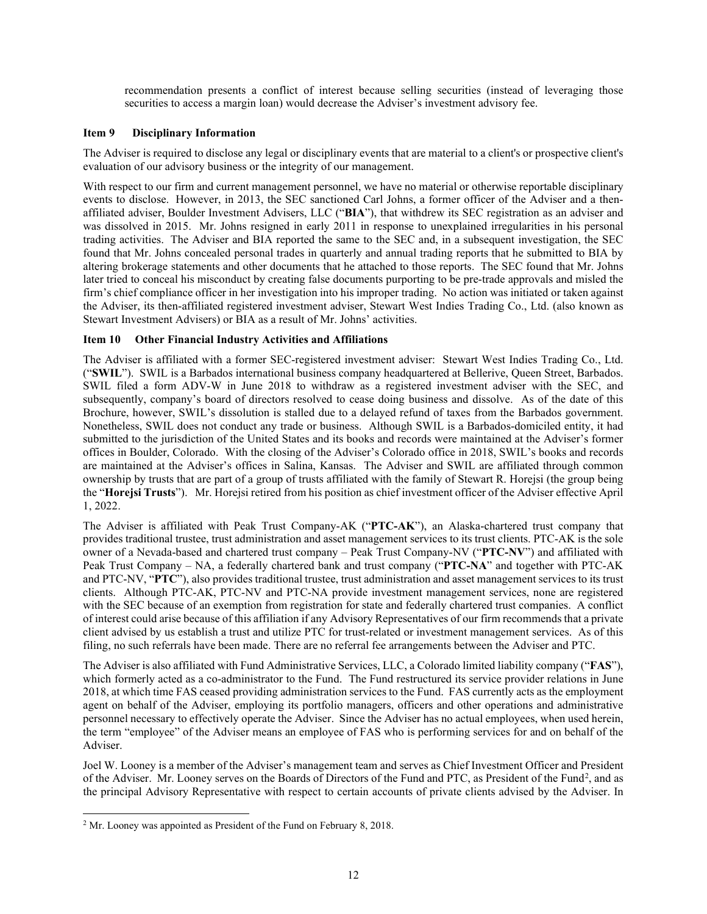recommendation presents a conflict of interest because selling securities (instead of leveraging those securities to access a margin loan) would decrease the Adviser's investment advisory fee.

#### <span id="page-11-0"></span>**Item 9 Disciplinary Information**

The Adviser is required to disclose any legal or disciplinary events that are material to a client's or prospective client's evaluation of our advisory business or the integrity of our management.

With respect to our firm and current management personnel, we have no material or otherwise reportable disciplinary events to disclose. However, in 2013, the SEC sanctioned Carl Johns, a former officer of the Adviser and a thenaffiliated adviser, Boulder Investment Advisers, LLC ("**BIA**"), that withdrew its SEC registration as an adviser and was dissolved in 2015. Mr. Johns resigned in early 2011 in response to unexplained irregularities in his personal trading activities. The Adviser and BIA reported the same to the SEC and, in a subsequent investigation, the SEC found that Mr. Johns concealed personal trades in quarterly and annual trading reports that he submitted to BIA by altering brokerage statements and other documents that he attached to those reports. The SEC found that Mr. Johns later tried to conceal his misconduct by creating false documents purporting to be pre-trade approvals and misled the firm's chief compliance officer in her investigation into his improper trading. No action was initiated or taken against the Adviser, its then-affiliated registered investment adviser, Stewart West Indies Trading Co., Ltd. (also known as Stewart Investment Advisers) or BIA as a result of Mr. Johns' activities.

## <span id="page-11-1"></span>**Item 10 Other Financial Industry Activities and Affiliations**

The Adviser is affiliated with a former SEC-registered investment adviser: Stewart West Indies Trading Co., Ltd. ("**SWIL**"). SWIL is a Barbados international business company headquartered at Bellerive, Queen Street, Barbados. SWIL filed a form ADV-W in June 2018 to withdraw as a registered investment adviser with the SEC, and subsequently, company's board of directors resolved to cease doing business and dissolve. As of the date of this Brochure, however, SWIL's dissolution is stalled due to a delayed refund of taxes from the Barbados government. Nonetheless, SWIL does not conduct any trade or business. Although SWIL is a Barbados-domiciled entity, it had submitted to the jurisdiction of the United States and its books and records were maintained at the Adviser's former offices in Boulder, Colorado. With the closing of the Adviser's Colorado office in 2018, SWIL's books and records are maintained at the Adviser's offices in Salina, Kansas. The Adviser and SWIL are affiliated through common ownership by trusts that are part of a group of trusts affiliated with the family of Stewart R. Horejsi (the group being the "**Horejsi Trusts**"). Mr. Horejsi retired from his position as chief investment officer of the Adviser effective April 1, 2022.

The Adviser is affiliated with Peak Trust Company-AK ("**PTC-AK**"), an Alaska-chartered trust company that provides traditional trustee, trust administration and asset management services to its trust clients. PTC-AK is the sole owner of a Nevada-based and chartered trust company – Peak Trust Company-NV ("**PTC-NV**") and affiliated with Peak Trust Company – NA, a federally chartered bank and trust company ("**PTC-NA**" and together with PTC-AK and PTC-NV, "**PTC**"), also provides traditional trustee, trust administration and asset management services to its trust clients. Although PTC-AK, PTC-NV and PTC-NA provide investment management services, none are registered with the SEC because of an exemption from registration for state and federally chartered trust companies. A conflict of interest could arise because of this affiliation if any Advisory Representatives of our firm recommends that a private client advised by us establish a trust and utilize PTC for trust-related or investment management services. As of this filing, no such referrals have been made. There are no referral fee arrangements between the Adviser and PTC.

The Adviser is also affiliated with Fund Administrative Services, LLC, a Colorado limited liability company ("**FAS**"), which formerly acted as a co-administrator to the Fund. The Fund restructured its service provider relations in June 2018, at which time FAS ceased providing administration services to the Fund. FAS currently acts as the employment agent on behalf of the Adviser, employing its portfolio managers, officers and other operations and administrative personnel necessary to effectively operate the Adviser. Since the Adviser has no actual employees, when used herein, the term "employee" of the Adviser means an employee of FAS who is performing services for and on behalf of the Adviser.

Joel W. Looney is a member of the Adviser's management team and serves as Chief Investment Officer and President of the Adviser. Mr. Looney serves on the Boards of Directors of the Fund and PTC, as President of the Fund<sup>[2](#page-11-2)</sup>, and as the principal Advisory Representative with respect to certain accounts of private clients advised by the Adviser. In

<span id="page-11-2"></span><sup>&</sup>lt;sup>2</sup> Mr. Looney was appointed as President of the Fund on February 8, 2018.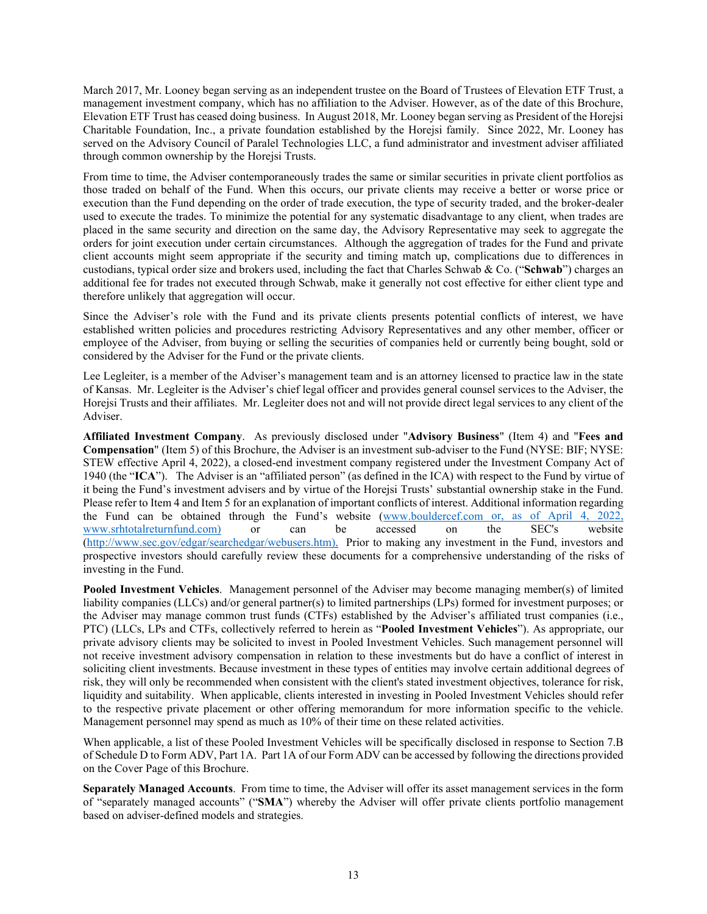March 2017, Mr. Looney began serving as an independent trustee on the Board of Trustees of Elevation ETF Trust, a management investment company, which has no affiliation to the Adviser. However, as of the date of this Brochure, Elevation ETF Trust has ceased doing business. In August 2018, Mr. Looney began serving as President of the Horejsi Charitable Foundation, Inc., a private foundation established by the Horejsi family. Since 2022, Mr. Looney has served on the Advisory Council of Paralel Technologies LLC, a fund administrator and investment adviser affiliated through common ownership by the Horejsi Trusts.

From time to time, the Adviser contemporaneously trades the same or similar securities in private client portfolios as those traded on behalf of the Fund. When this occurs, our private clients may receive a better or worse price or execution than the Fund depending on the order of trade execution, the type of security traded, and the broker-dealer used to execute the trades. To minimize the potential for any systematic disadvantage to any client, when trades are placed in the same security and direction on the same day, the Advisory Representative may seek to aggregate the orders for joint execution under certain circumstances. Although the aggregation of trades for the Fund and private client accounts might seem appropriate if the security and timing match up, complications due to differences in custodians, typical order size and brokers used, including the fact that Charles Schwab & Co. ("**Schwab**") charges an additional fee for trades not executed through Schwab, make it generally not cost effective for either client type and therefore unlikely that aggregation will occur.

Since the Adviser's role with the Fund and its private clients presents potential conflicts of interest, we have established written policies and procedures restricting Advisory Representatives and any other member, officer or employee of the Adviser, from buying or selling the securities of companies held or currently being bought, sold or considered by the Adviser for the Fund or the private clients.

Lee Legleiter, is a member of the Adviser's management team and is an attorney licensed to practice law in the state of Kansas. Mr. Legleiter is the Adviser's chief legal officer and provides general counsel services to the Adviser, the Horejsi Trusts and their affiliates. Mr. Legleiter does not and will not provide direct legal services to any client of the Adviser.

**Affiliated Investment Company**. As previously disclosed under "**Advisory Business**" (Item 4) and "**Fees and Compensation**" (Item 5) of this Brochure, the Adviser is an investment sub-adviser to the Fund (NYSE: BIF; NYSE: STEW effective April 4, 2022), a closed-end investment company registered under the Investment Company Act of 1940 (the "**ICA**"). The Adviser is an "affiliated person" (as defined in the ICA) with respect to the Fund by virtue of it being the Fund's investment advisers and by virtue of the Horejsi Trusts' substantial ownership stake in the Fund. Please refer to Item 4 and Item 5 for an explanation of important conflicts of interest. Additional information regarding the Fund can be obtained through the Fund's website [\(www.bouldercef.com](http://www.bouldercef.com/) or, as of April 4, 2022, www.srhtotalreturnfund.com) or can be accessed on the SEC's website www.srhtotalreturnfund.com) or can be accessed on the SEC's website [\(http://www.sec.gov/edgar/searchedgar/webusers.htm\)](http://www.sec.gov/edgar/searchedgar/webusers.htm). Prior to making any investment in the Fund, investors and prospective investors should carefully review these documents for a comprehensive understanding of the risks of investing in the Fund.

**Pooled Investment Vehicles**. Management personnel of the Adviser may become managing member(s) of limited liability companies (LLCs) and/or general partner(s) to limited partnerships (LPs) formed for investment purposes; or the Adviser may manage common trust funds (CTFs) established by the Adviser's affiliated trust companies (i.e., PTC) (LLCs, LPs and CTFs, collectively referred to herein as "**Pooled Investment Vehicles**"). As appropriate, our private advisory clients may be solicited to invest in Pooled Investment Vehicles. Such management personnel will not receive investment advisory compensation in relation to these investments but do have a conflict of interest in soliciting client investments. Because investment in these types of entities may involve certain additional degrees of risk, they will only be recommended when consistent with the client's stated investment objectives, tolerance for risk, liquidity and suitability. When applicable, clients interested in investing in Pooled Investment Vehicles should refer to the respective private placement or other offering memorandum for more information specific to the vehicle. Management personnel may spend as much as 10% of their time on these related activities.

When applicable, a list of these Pooled Investment Vehicles will be specifically disclosed in response to Section 7.B of Schedule D to Form ADV, Part 1A. Part 1A of our Form ADV can be accessed by following the directions provided on the Cover Page of this Brochure.

**Separately Managed Accounts**. From time to time, the Adviser will offer its asset management services in the form of "separately managed accounts" ("**SMA**") whereby the Adviser will offer private clients portfolio management based on adviser-defined models and strategies.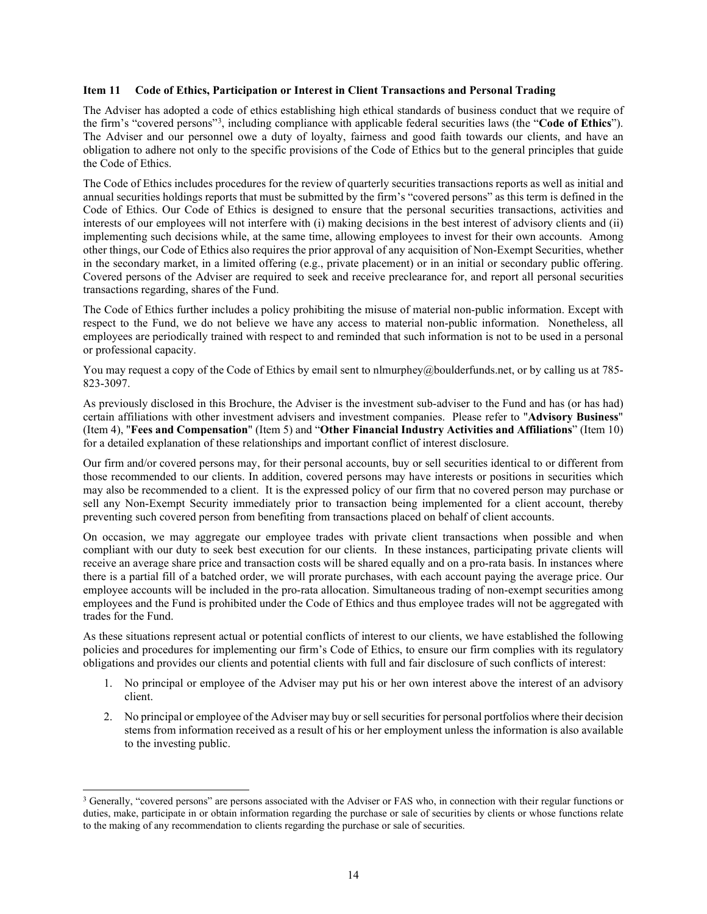#### <span id="page-13-0"></span>**Item 11 Code of Ethics, Participation or Interest in Client Transactions and Personal Trading**

The Adviser has adopted a code of ethics establishing high ethical standards of business conduct that we require of the firm's "covered persons"[3](#page-13-1) , including compliance with applicable federal securities laws (the "**Code of Ethics**"). The Adviser and our personnel owe a duty of loyalty, fairness and good faith towards our clients, and have an obligation to adhere not only to the specific provisions of the Code of Ethics but to the general principles that guide the Code of Ethics.

The Code of Ethics includes procedures for the review of quarterly securities transactions reports as well as initial and annual securities holdings reports that must be submitted by the firm's "covered persons" as this term is defined in the Code of Ethics. Our Code of Ethics is designed to ensure that the personal securities transactions, activities and interests of our employees will not interfere with (i) making decisions in the best interest of advisory clients and (ii) implementing such decisions while, at the same time, allowing employees to invest for their own accounts. Among other things, our Code of Ethics also requires the prior approval of any acquisition of Non-Exempt Securities, whether in the secondary market, in a limited offering (e.g., private placement) or in an initial or secondary public offering. Covered persons of the Adviser are required to seek and receive preclearance for, and report all personal securities transactions regarding, shares of the Fund.

The Code of Ethics further includes a policy prohibiting the misuse of material non-public information. Except with respect to the Fund, we do not believe we have any access to material non-public information. Nonetheless, all employees are periodically trained with respect to and reminded that such information is not to be used in a personal or professional capacity.

You may request a copy of the Code of Ethics by email sent to nlmurphey@boulderfunds.net, or by calling us at 785-823-3097.

As previously disclosed in this Brochure, the Adviser is the investment sub-adviser to the Fund and has (or has had) certain affiliations with other investment advisers and investment companies. Please refer to "**Advisory Business**" (Item 4), "**Fees and Compensation**" (Item 5) and "**Other Financial Industry Activities and Affiliations**" (Item 10) for a detailed explanation of these relationships and important conflict of interest disclosure.

Our firm and/or covered persons may, for their personal accounts, buy or sell securities identical to or different from those recommended to our clients. In addition, covered persons may have interests or positions in securities which may also be recommended to a client. It is the expressed policy of our firm that no covered person may purchase or sell any Non-Exempt Security immediately prior to transaction being implemented for a client account, thereby preventing such covered person from benefiting from transactions placed on behalf of client accounts.

On occasion, we may aggregate our employee trades with private client transactions when possible and when compliant with our duty to seek best execution for our clients. In these instances, participating private clients will receive an average share price and transaction costs will be shared equally and on a pro-rata basis. In instances where there is a partial fill of a batched order, we will prorate purchases, with each account paying the average price. Our employee accounts will be included in the pro-rata allocation. Simultaneous trading of non-exempt securities among employees and the Fund is prohibited under the Code of Ethics and thus employee trades will not be aggregated with trades for the Fund.

As these situations represent actual or potential conflicts of interest to our clients, we have established the following policies and procedures for implementing our firm's Code of Ethics, to ensure our firm complies with its regulatory obligations and provides our clients and potential clients with full and fair disclosure of such conflicts of interest:

- 1. No principal or employee of the Adviser may put his or her own interest above the interest of an advisory client.
- 2. No principal or employee of the Adviser may buy or sell securities for personal portfolios where their decision stems from information received as a result of his or her employment unless the information is also available to the investing public.

<span id="page-13-1"></span><sup>3</sup> Generally, "covered persons" are persons associated with the Adviser or FAS who, in connection with their regular functions or duties, make, participate in or obtain information regarding the purchase or sale of securities by clients or whose functions relate to the making of any recommendation to clients regarding the purchase or sale of securities.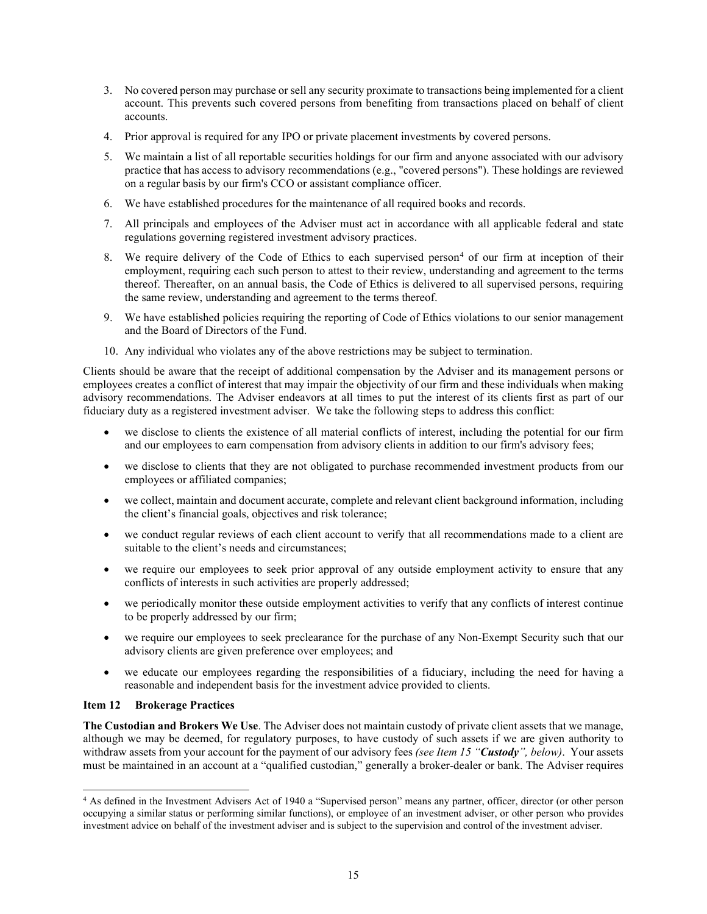- 3. No covered person may purchase or sell any security proximate to transactions being implemented for a client account. This prevents such covered persons from benefiting from transactions placed on behalf of client accounts.
- 4. Prior approval is required for any IPO or private placement investments by covered persons.
- 5. We maintain a list of all reportable securities holdings for our firm and anyone associated with our advisory practice that has access to advisory recommendations (e.g., "covered persons"). These holdings are reviewed on a regular basis by our firm's CCO or assistant compliance officer.
- 6. We have established procedures for the maintenance of all required books and records.
- 7. All principals and employees of the Adviser must act in accordance with all applicable federal and state regulations governing registered investment advisory practices.
- 8. We require delivery of the Code of Ethics to each supervised person<sup>[4](#page-14-1)</sup> of our firm at inception of their employment, requiring each such person to attest to their review, understanding and agreement to the terms thereof. Thereafter, on an annual basis, the Code of Ethics is delivered to all supervised persons, requiring the same review, understanding and agreement to the terms thereof.
- 9. We have established policies requiring the reporting of Code of Ethics violations to our senior management and the Board of Directors of the Fund.
- 10. Any individual who violates any of the above restrictions may be subject to termination.

Clients should be aware that the receipt of additional compensation by the Adviser and its management persons or employees creates a conflict of interest that may impair the objectivity of our firm and these individuals when making advisory recommendations. The Adviser endeavors at all times to put the interest of its clients first as part of our fiduciary duty as a registered investment adviser. We take the following steps to address this conflict:

- we disclose to clients the existence of all material conflicts of interest, including the potential for our firm and our employees to earn compensation from advisory clients in addition to our firm's advisory fees;
- we disclose to clients that they are not obligated to purchase recommended investment products from our employees or affiliated companies;
- we collect, maintain and document accurate, complete and relevant client background information, including the client's financial goals, objectives and risk tolerance;
- we conduct regular reviews of each client account to verify that all recommendations made to a client are suitable to the client's needs and circumstances;
- we require our employees to seek prior approval of any outside employment activity to ensure that any conflicts of interests in such activities are properly addressed;
- we periodically monitor these outside employment activities to verify that any conflicts of interest continue to be properly addressed by our firm;
- we require our employees to seek preclearance for the purchase of any Non-Exempt Security such that our advisory clients are given preference over employees; and
- we educate our employees regarding the responsibilities of a fiduciary, including the need for having a reasonable and independent basis for the investment advice provided to clients.

# <span id="page-14-0"></span>**Item 12 Brokerage Practices**

**The Custodian and Brokers We Use**. The Adviser does not maintain custody of private client assets that we manage, although we may be deemed, for regulatory purposes, to have custody of such assets if we are given authority to withdraw assets from your account for the payment of our advisory fees *(see Item 15 "Custody", below)*. Your assets must be maintained in an account at a "qualified custodian," generally a broker-dealer or bank. The Adviser requires

<span id="page-14-1"></span><sup>4</sup> As defined in the Investment Advisers Act of 1940 a "Supervised person" means any partner, officer, director (or other person occupying a similar status or performing similar functions), or employee of an investment adviser, or other person who provides investment advice on behalf of the investment adviser and is subject to the supervision and control of the investment adviser.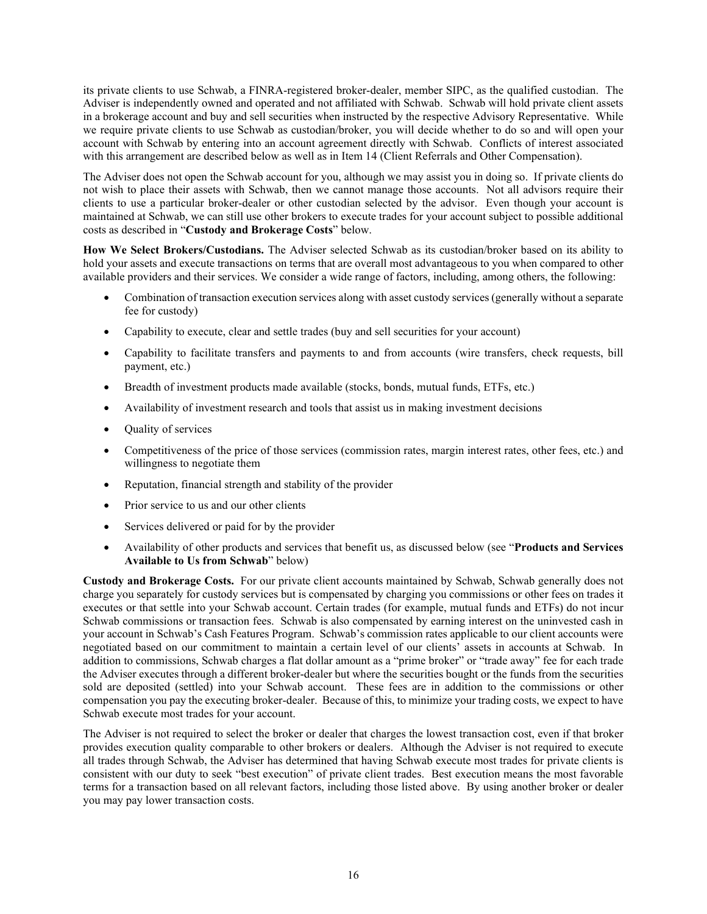its private clients to use Schwab, a FINRA-registered broker-dealer, member SIPC, as the qualified custodian. The Adviser is independently owned and operated and not affiliated with Schwab. Schwab will hold private client assets in a brokerage account and buy and sell securities when instructed by the respective Advisory Representative. While we require private clients to use Schwab as custodian/broker, you will decide whether to do so and will open your account with Schwab by entering into an account agreement directly with Schwab. Conflicts of interest associated with this arrangement are described below as well as in Item 14 (Client Referrals and Other Compensation).

The Adviser does not open the Schwab account for you, although we may assist you in doing so. If private clients do not wish to place their assets with Schwab, then we cannot manage those accounts. Not all advisors require their clients to use a particular broker-dealer or other custodian selected by the advisor. Even though your account is maintained at Schwab, we can still use other brokers to execute trades for your account subject to possible additional costs as described in "**Custody and Brokerage Costs**" below.

**How We Select Brokers/Custodians.** The Adviser selected Schwab as its custodian/broker based on its ability to hold your assets and execute transactions on terms that are overall most advantageous to you when compared to other available providers and their services. We consider a wide range of factors, including, among others, the following:

- Combination of transaction execution services along with asset custody services (generally without a separate fee for custody)
- Capability to execute, clear and settle trades (buy and sell securities for your account)
- Capability to facilitate transfers and payments to and from accounts (wire transfers, check requests, bill payment, etc.)
- Breadth of investment products made available (stocks, bonds, mutual funds, ETFs, etc.)
- Availability of investment research and tools that assist us in making investment decisions
- Quality of services
- Competitiveness of the price of those services (commission rates, margin interest rates, other fees, etc.) and willingness to negotiate them
- Reputation, financial strength and stability of the provider
- Prior service to us and our other clients
- Services delivered or paid for by the provider
- Availability of other products and services that benefit us, as discussed below (see "**Products and Services Available to Us from Schwab**" below)

**Custody and Brokerage Costs.** For our private client accounts maintained by Schwab, Schwab generally does not charge you separately for custody services but is compensated by charging you commissions or other fees on trades it executes or that settle into your Schwab account. Certain trades (for example, mutual funds and ETFs) do not incur Schwab commissions or transaction fees. Schwab is also compensated by earning interest on the uninvested cash in your account in Schwab's Cash Features Program. Schwab's commission rates applicable to our client accounts were negotiated based on our commitment to maintain a certain level of our clients' assets in accounts at Schwab. In addition to commissions, Schwab charges a flat dollar amount as a "prime broker" or "trade away" fee for each trade the Adviser executes through a different broker-dealer but where the securities bought or the funds from the securities sold are deposited (settled) into your Schwab account. These fees are in addition to the commissions or other compensation you pay the executing broker-dealer. Because of this, to minimize your trading costs, we expect to have Schwab execute most trades for your account.

The Adviser is not required to select the broker or dealer that charges the lowest transaction cost, even if that broker provides execution quality comparable to other brokers or dealers. Although the Adviser is not required to execute all trades through Schwab, the Adviser has determined that having Schwab execute most trades for private clients is consistent with our duty to seek "best execution" of private client trades. Best execution means the most favorable terms for a transaction based on all relevant factors, including those listed above. By using another broker or dealer you may pay lower transaction costs.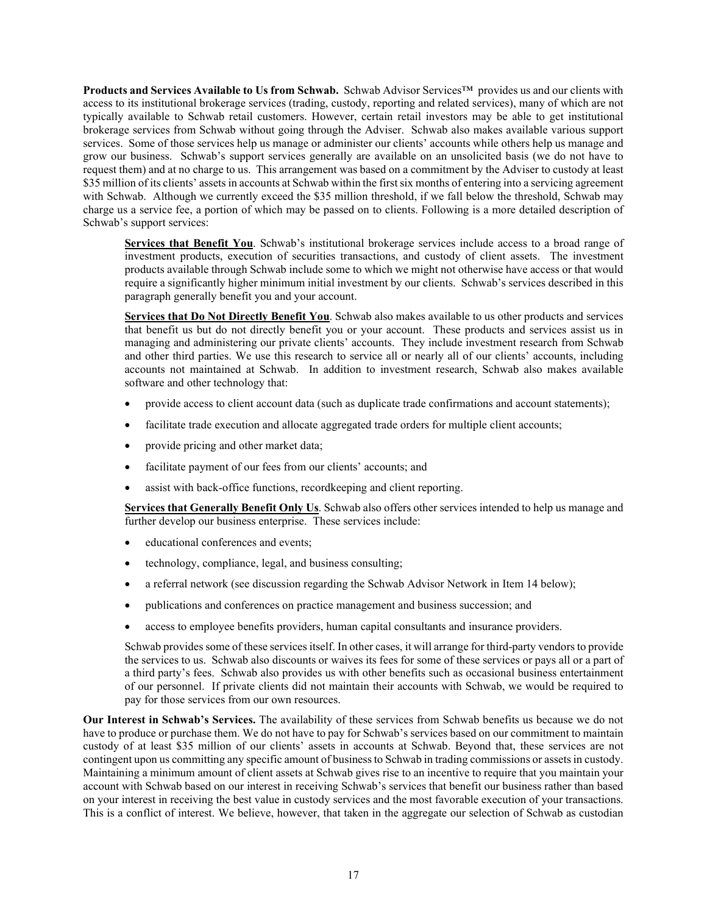**Products and Services Available to Us from Schwab.** Schwab Advisor Services™ provides us and our clients with access to its institutional brokerage services (trading, custody, reporting and related services), many of which are not typically available to Schwab retail customers. However, certain retail investors may be able to get institutional brokerage services from Schwab without going through the Adviser. Schwab also makes available various support services. Some of those services help us manage or administer our clients' accounts while others help us manage and grow our business. Schwab's support services generally are available on an unsolicited basis (we do not have to request them) and at no charge to us. This arrangement was based on a commitment by the Adviser to custody at least \$35 million of its clients' assets in accounts at Schwab within the first six months of entering into a servicing agreement with Schwab. Although we currently exceed the \$35 million threshold, if we fall below the threshold, Schwab may charge us a service fee, a portion of which may be passed on to clients. Following is a more detailed description of Schwab's support services:

**Services that Benefit You**. Schwab's institutional brokerage services include access to a broad range of investment products, execution of securities transactions, and custody of client assets. The investment products available through Schwab include some to which we might not otherwise have access or that would require a significantly higher minimum initial investment by our clients. Schwab's services described in this paragraph generally benefit you and your account.

**Services that Do Not Directly Benefit You**. Schwab also makes available to us other products and services that benefit us but do not directly benefit you or your account. These products and services assist us in managing and administering our private clients' accounts. They include investment research from Schwab and other third parties. We use this research to service all or nearly all of our clients' accounts, including accounts not maintained at Schwab. In addition to investment research, Schwab also makes available software and other technology that:

- provide access to client account data (such as duplicate trade confirmations and account statements);
- facilitate trade execution and allocate aggregated trade orders for multiple client accounts;
- provide pricing and other market data;
- facilitate payment of our fees from our clients' accounts; and
- assist with back-office functions, recordkeeping and client reporting.

**Services that Generally Benefit Only Us**. Schwab also offers other services intended to help us manage and further develop our business enterprise. These services include:

- educational conferences and events:
- technology, compliance, legal, and business consulting;
- a referral network (see discussion regarding the Schwab Advisor Network in Item 14 below);
- publications and conferences on practice management and business succession; and
- access to employee benefits providers, human capital consultants and insurance providers.

Schwab provides some of these services itself. In other cases, it will arrange for third-party vendors to provide the services to us. Schwab also discounts or waives its fees for some of these services or pays all or a part of a third party's fees. Schwab also provides us with other benefits such as occasional business entertainment of our personnel. If private clients did not maintain their accounts with Schwab, we would be required to pay for those services from our own resources.

**Our Interest in Schwab's Services.** The availability of these services from Schwab benefits us because we do not have to produce or purchase them. We do not have to pay for Schwab's services based on our commitment to maintain custody of at least \$35 million of our clients' assets in accounts at Schwab. Beyond that, these services are not contingent upon us committing any specific amount of business to Schwab in trading commissions or assets in custody. Maintaining a minimum amount of client assets at Schwab gives rise to an incentive to require that you maintain your account with Schwab based on our interest in receiving Schwab's services that benefit our business rather than based on your interest in receiving the best value in custody services and the most favorable execution of your transactions. This is a conflict of interest. We believe, however, that taken in the aggregate our selection of Schwab as custodian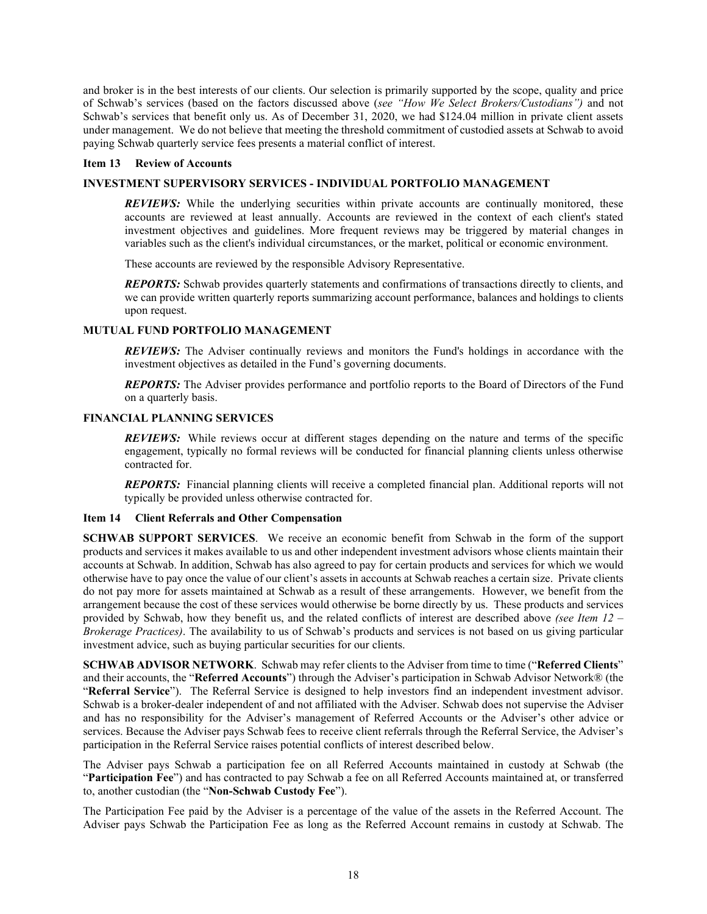and broker is in the best interests of our clients. Our selection is primarily supported by the scope, quality and price of Schwab's services (based on the factors discussed above (*see "How We Select Brokers/Custodians")* and not Schwab's services that benefit only us. As of December 31, 2020, we had \$124.04 million in private client assets under management. We do not believe that meeting the threshold commitment of custodied assets at Schwab to avoid paying Schwab quarterly service fees presents a material conflict of interest.

#### <span id="page-17-0"></span>**Item 13 Review of Accounts**

#### **INVESTMENT SUPERVISORY SERVICES - INDIVIDUAL PORTFOLIO MANAGEMENT**

*REVIEWS:* While the underlying securities within private accounts are continually monitored, these accounts are reviewed at least annually. Accounts are reviewed in the context of each client's stated investment objectives and guidelines. More frequent reviews may be triggered by material changes in variables such as the client's individual circumstances, or the market, political or economic environment.

These accounts are reviewed by the responsible Advisory Representative.

*REPORTS:* Schwab provides quarterly statements and confirmations of transactions directly to clients, and we can provide written quarterly reports summarizing account performance, balances and holdings to clients upon request.

#### **MUTUAL FUND PORTFOLIO MANAGEMENT**

*REVIEWS:* The Adviser continually reviews and monitors the Fund's holdings in accordance with the investment objectives as detailed in the Fund's governing documents.

*REPORTS:* The Adviser provides performance and portfolio reports to the Board of Directors of the Fund on a quarterly basis.

#### **FINANCIAL PLANNING SERVICES**

*REVIEWS:* While reviews occur at different stages depending on the nature and terms of the specific engagement, typically no formal reviews will be conducted for financial planning clients unless otherwise contracted for.

*REPORTS:* Financial planning clients will receive a completed financial plan. Additional reports will not typically be provided unless otherwise contracted for.

#### <span id="page-17-1"></span>**Item 14 Client Referrals and Other Compensation**

**SCHWAB SUPPORT SERVICES**. We receive an economic benefit from Schwab in the form of the support products and services it makes available to us and other independent investment advisors whose clients maintain their accounts at Schwab. In addition, Schwab has also agreed to pay for certain products and services for which we would otherwise have to pay once the value of our client's assets in accounts at Schwab reaches a certain size. Private clients do not pay more for assets maintained at Schwab as a result of these arrangements. However, we benefit from the arrangement because the cost of these services would otherwise be borne directly by us. These products and services provided by Schwab, how they benefit us, and the related conflicts of interest are described above *(see Item 12 – Brokerage Practices)*. The availability to us of Schwab's products and services is not based on us giving particular investment advice, such as buying particular securities for our clients.

**SCHWAB ADVISOR NETWORK**. Schwab may refer clients to the Adviser from time to time ("**Referred Clients**" and their accounts, the "**Referred Accounts**") through the Adviser's participation in Schwab Advisor Network® (the "**Referral Service**"). The Referral Service is designed to help investors find an independent investment advisor. Schwab is a broker-dealer independent of and not affiliated with the Adviser. Schwab does not supervise the Adviser and has no responsibility for the Adviser's management of Referred Accounts or the Adviser's other advice or services. Because the Adviser pays Schwab fees to receive client referrals through the Referral Service, the Adviser's participation in the Referral Service raises potential conflicts of interest described below.

The Adviser pays Schwab a participation fee on all Referred Accounts maintained in custody at Schwab (the "**Participation Fee**") and has contracted to pay Schwab a fee on all Referred Accounts maintained at, or transferred to, another custodian (the "**Non-Schwab Custody Fee**").

The Participation Fee paid by the Adviser is a percentage of the value of the assets in the Referred Account. The Adviser pays Schwab the Participation Fee as long as the Referred Account remains in custody at Schwab. The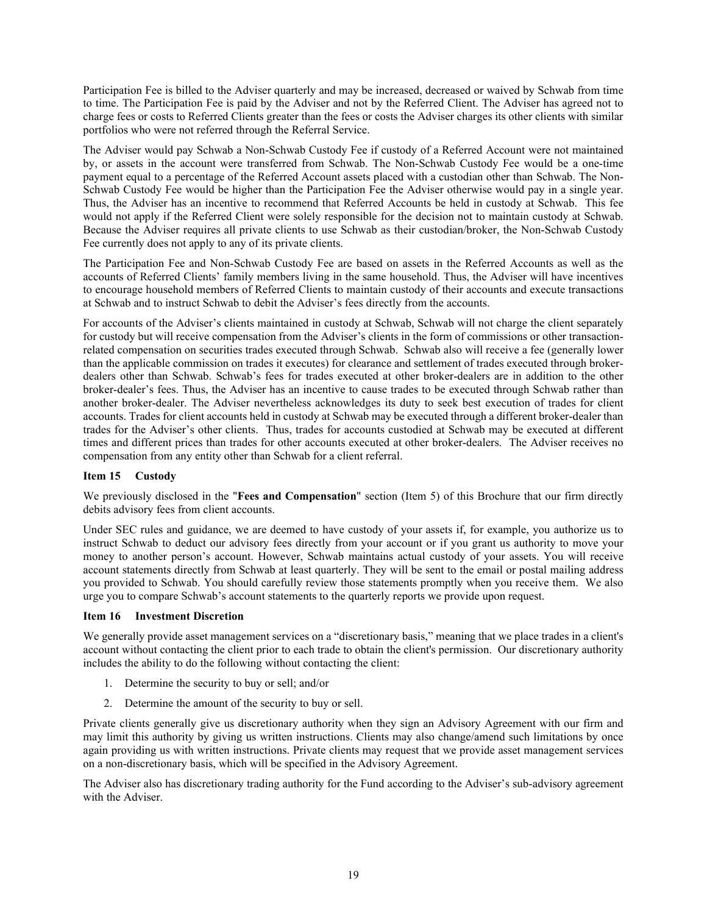Participation Fee is billed to the Adviser quarterly and may be increased, decreased or waived by Schwab from time to time. The Participation Fee is paid by the Adviser and not by the Referred Client. The Adviser has agreed not to charge fees or costs to Referred Clients greater than the fees or costs the Adviser charges its other clients with similar portfolios who were not referred through the Referral Service.

The Adviser would pay Schwab a Non-Schwab Custody Fee if custody of a Referred Account were not maintained by, or assets in the account were transferred from Schwab. The Non-Schwab Custody Fee would be a one-time payment equal to a percentage of the Referred Account assets placed with a custodian other than Schwab. The Non-Schwab Custody Fee would be higher than the Participation Fee the Adviser otherwise would pay in a single year. Thus, the Adviser has an incentive to recommend that Referred Accounts be held in custody at Schwab. This fee would not apply if the Referred Client were solely responsible for the decision not to maintain custody at Schwab. Because the Adviser requires all private clients to use Schwab as their custodian/broker, the Non-Schwab Custody Fee currently does not apply to any of its private clients.

The Participation Fee and Non-Schwab Custody Fee are based on assets in the Referred Accounts as well as the accounts of Referred Clients' family members living in the same household. Thus, the Adviser will have incentives to encourage household members of Referred Clients to maintain custody of their accounts and execute transactions at Schwab and to instruct Schwab to debit the Adviser's fees directly from the accounts.

For accounts of the Adviser's clients maintained in custody at Schwab, Schwab will not charge the client separately for custody but will receive compensation from the Adviser's clients in the form of commissions or other transactionrelated compensation on securities trades executed through Schwab. Schwab also will receive a fee (generally lower than the applicable commission on trades it executes) for clearance and settlement of trades executed through brokerdealers other than Schwab. Schwab's fees for trades executed at other broker-dealers are in addition to the other broker-dealer's fees. Thus, the Adviser has an incentive to cause trades to be executed through Schwab rather than another broker-dealer. The Adviser nevertheless acknowledges its duty to seek best execution of trades for client accounts. Trades for client accounts held in custody at Schwab may be executed through a different broker-dealer than trades for the Adviser's other clients. Thus, trades for accounts custodied at Schwab may be executed at different times and different prices than trades for other accounts executed at other broker-dealers. The Adviser receives no compensation from any entity other than Schwab for a client referral.

## <span id="page-18-0"></span>**Item 15 Custody**

We previously disclosed in the "**Fees and Compensation**" section (Item 5) of this Brochure that our firm directly debits advisory fees from client accounts.

Under SEC rules and guidance, we are deemed to have custody of your assets if, for example, you authorize us to instruct Schwab to deduct our advisory fees directly from your account or if you grant us authority to move your money to another person's account. However, Schwab maintains actual custody of your assets. You will receive account statements directly from Schwab at least quarterly. They will be sent to the email or postal mailing address you provided to Schwab. You should carefully review those statements promptly when you receive them. We also urge you to compare Schwab's account statements to the quarterly reports we provide upon request.

## <span id="page-18-1"></span>**Item 16 Investment Discretion**

We generally provide asset management services on a "discretionary basis," meaning that we place trades in a client's account without contacting the client prior to each trade to obtain the client's permission. Our discretionary authority includes the ability to do the following without contacting the client:

- 1. Determine the security to buy or sell; and/or
- 2. Determine the amount of the security to buy or sell.

Private clients generally give us discretionary authority when they sign an Advisory Agreement with our firm and may limit this authority by giving us written instructions. Clients may also change/amend such limitations by once again providing us with written instructions. Private clients may request that we provide asset management services on a non-discretionary basis, which will be specified in the Advisory Agreement.

The Adviser also has discretionary trading authority for the Fund according to the Adviser's sub-advisory agreement with the Adviser